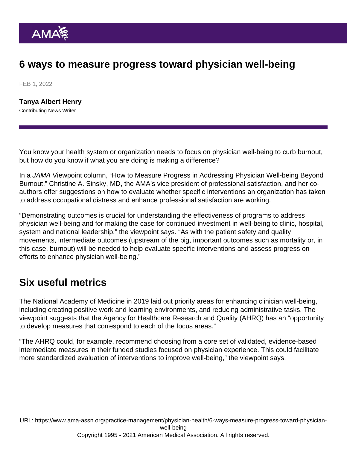# 6 ways to measure progress toward physician well-being

FEB 1, 2022

[Tanya Albert Henry](https://www.ama-assn.org/news-leadership-viewpoints/authors-news-leadership-viewpoints/tanya-albert-henry) Contributing News Writer

You know your health system or organization needs to focus on physician well-being to curb burnout, but how do you know if what you are doing is making a difference?

In a JAMA Viewpoint column, ["How to Measure Progress in Addressing Physician Well-being Beyond](https://jamanetwork.com/journals/jama/fullarticle/2786272) [Burnout](https://jamanetwork.com/journals/jama/fullarticle/2786272)," Christine A. Sinsky, MD, the AMA's vice president of professional satisfaction, and her coauthors offer suggestions on how to evaluate whether specific interventions an organization has taken to address occupational distress and enhance professional satisfaction are working.

"Demonstrating outcomes is crucial for understanding the effectiveness of programs to address physician well-being and for making the case for continued investment in well-being to clinic, hospital, system and national leadership," the viewpoint says. "As with the patient safety and quality movements, intermediate outcomes (upstream of the big, important outcomes such as mortality or, in this case, burnout) will be needed to help evaluate specific interventions and assess progress on efforts to enhance physician well-being."

## Six useful metrics

The National Academy of Medicine in 2019 laid out priority areas for enhancing clinician well-being, including creating positive work and learning environments, and reducing administrative tasks. The viewpoint suggests that the Agency for Healthcare Research and Quality (AHRQ) has an "opportunity to develop measures that correspond to each of the focus areas."

"The AHRQ could, for example, recommend choosing from a core set of validated, evidence-based intermediate measures in their funded studies focused on physician experience. This could facilitate more standardized evaluation of interventions to improve well-being," the viewpoint says.

URL: [https://www.ama-assn.org/practice-management/physician-health/6-ways-measure-progress-toward-physician](https://www.ama-assn.org/practice-management/physician-health/6-ways-measure-progress-toward-physician-well-being)[well-being](https://www.ama-assn.org/practice-management/physician-health/6-ways-measure-progress-toward-physician-well-being) Copyright 1995 - 2021 American Medical Association. All rights reserved.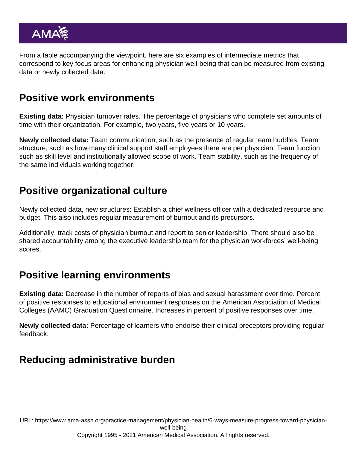From a table accompanying the viewpoint, here are six examples of intermediate metrics that correspond to key focus areas for enhancing physician well-being that can be measured from existing data or newly collected data.

#### Positive work environments

Existing data: Physician turnover rates. The percentage of physicians who complete set amounts of time with their organization. For example, two years, five years or 10 years.

Newly collected data: Team communication, such as the presence of regular [team huddles](https://www.ama-assn.org/practice-management/scope-practice/how-daily-team-huddles-can-save-time-your-physician-practice). Team structure, such as how many clinical support staff employees there are per physician. Team function, such as skill level and institutionally allowed scope of work. Team stability, such as the frequency of the same individuals working together.

#### Positive organizational culture

Newly collected data, new structures: Establish a [chief wellness officer](https://www.ama-assn.org/practice-management/physician-health/5-points-cover-when-establishing-chief-wellness-officer) with a dedicated resource and budget. This also includes regular measurement of burnout and its precursors.

Additionally, track costs of physician burnout and report to senior leadership. There should also be shared accountability among the executive leadership team for the physician workforces' well-being scores.

## Positive learning environments

Existing data: Decrease in the number of reports of bias and sexual harassment over time. Percent of positive responses to educational environment responses on the American Association of Medical Colleges (AAMC) Graduation Questionnaire. Increases in percent of positive responses over time.

Newly collected data: Percentage of learners who endorse their clinical preceptors providing regular feedback.

## Reducing administrative burden

URL: [https://www.ama-assn.org/practice-management/physician-health/6-ways-measure-progress-toward-physician](https://www.ama-assn.org/practice-management/physician-health/6-ways-measure-progress-toward-physician-well-being)[well-being](https://www.ama-assn.org/practice-management/physician-health/6-ways-measure-progress-toward-physician-well-being) Copyright 1995 - 2021 American Medical Association. All rights reserved.